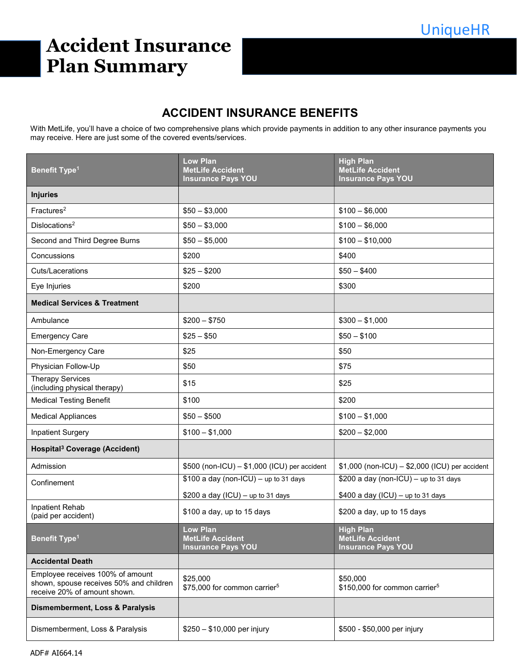# Accident Insurance Plan Summary

## ACCIDENT INSURANCE BENEFITS

With MetLife, you'll have a choice of two comprehensive plans which provide payments in addition to any other insurance payments you may receive. Here are just some of the covered events/services.

| <b>Benefit Type<sup>1</sup></b>                                                                             | <b>Low Plan</b><br><b>MetLife Accident</b><br><b>Insurance Pays YOU</b> | <b>High Plan</b><br><b>MetLife Accident</b><br><b>Insurance Pays YOU</b> |  |
|-------------------------------------------------------------------------------------------------------------|-------------------------------------------------------------------------|--------------------------------------------------------------------------|--|
| <b>Injuries</b>                                                                                             |                                                                         |                                                                          |  |
| Fractures <sup>2</sup>                                                                                      | $$50 - $3,000$                                                          | $$100 - $6,000$                                                          |  |
| Dislocations <sup>2</sup>                                                                                   | $$50 - $3,000$                                                          | $$100 - $6,000$                                                          |  |
| Second and Third Degree Burns                                                                               | $$50 - $5,000$                                                          | $$100 - $10,000$                                                         |  |
| Concussions                                                                                                 | \$200                                                                   | \$400                                                                    |  |
| Cuts/Lacerations                                                                                            | $$25 - $200$                                                            | $$50 - $400$                                                             |  |
| Eye Injuries                                                                                                | \$200                                                                   | \$300                                                                    |  |
| <b>Medical Services &amp; Treatment</b>                                                                     |                                                                         |                                                                          |  |
| Ambulance                                                                                                   | $$200 - $750$                                                           | $$300 - $1,000$                                                          |  |
| <b>Emergency Care</b>                                                                                       | $$25 - $50$                                                             | $$50 - $100$                                                             |  |
| Non-Emergency Care                                                                                          | \$25                                                                    | \$50                                                                     |  |
| Physician Follow-Up                                                                                         | \$50                                                                    | \$75                                                                     |  |
| <b>Therapy Services</b><br>(including physical therapy)                                                     | \$15                                                                    | \$25                                                                     |  |
| <b>Medical Testing Benefit</b>                                                                              | \$100                                                                   | \$200                                                                    |  |
| <b>Medical Appliances</b>                                                                                   | $$50 - $500$                                                            | $$100 - $1,000$                                                          |  |
| <b>Inpatient Surgery</b>                                                                                    | $$100 - $1,000$                                                         | $$200 - $2,000$                                                          |  |
| Hospital <sup>3</sup> Coverage (Accident)                                                                   |                                                                         |                                                                          |  |
| Admission                                                                                                   | \$500 (non-ICU) - \$1,000 (ICU) per accident                            | $$1,000$ (non-ICU) - \$2,000 (ICU) per accident                          |  |
| Confinement                                                                                                 | $$100$ a day (non-ICU) - up to 31 days                                  | $$200$ a day (non-ICU) - up to 31 days                                   |  |
|                                                                                                             | \$200 a day (ICU) - up to 31 days                                       | $$400$ a day (ICU) - up to 31 days                                       |  |
| Inpatient Rehab<br>(paid per accident)                                                                      | \$100 a day, up to 15 days                                              | \$200 a day, up to 15 days                                               |  |
| <b>Benefit Type<sup>1</sup></b>                                                                             | <b>Low Plan</b><br><b>MetLife Accident</b><br><b>Insurance Pays YOU</b> | <b>High Plan</b><br><b>MetLife Accident</b><br><b>Insurance Pays YOU</b> |  |
| <b>Accidental Death</b>                                                                                     |                                                                         |                                                                          |  |
| Employee receives 100% of amount<br>shown, spouse receives 50% and children<br>receive 20% of amount shown. | \$25,000<br>\$75,000 for common carrier <sup>5</sup>                    | \$50,000<br>\$150,000 for common carrier <sup>5</sup>                    |  |
| <b>Dismemberment, Loss &amp; Paralysis</b>                                                                  |                                                                         |                                                                          |  |
| Dismemberment, Loss & Paralysis                                                                             | $$250 - $10,000$ per injury                                             | \$500 - \$50,000 per injury                                              |  |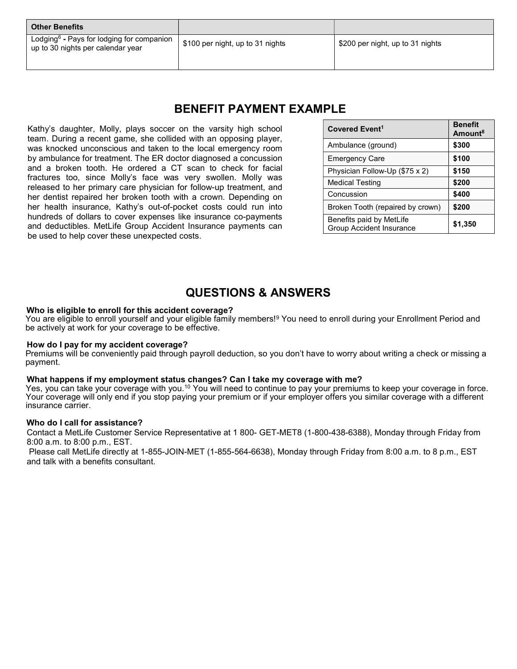Lodging<sup>6</sup> - Pays for lodging for companion Loughly Frays for loughly for companion | \$100 per night, up to 31 nights | \$200 per night, up to 31 nights up

### BENEFIT PAYMENT EXAMPLE

Kathy's daughter, Molly, plays soccer on the varsity high school team. During a recent game, she collided with an opposing player, was knocked unconscious and taken to the local emergency room by ambulance for treatment. The ER doctor diagnosed a concussion and a broken tooth. He ordered a CT scan to check for facial fractures too, since Molly's face was very swollen. Molly was released to her primary care physician for follow-up treatment, and her dentist repaired her broken tooth with a crown. Depending on her health insurance, Kathy's out-of-pocket costs could run into hundreds of dollars to cover expenses like insurance co-payments and deductibles. MetLife Group Accident Insurance payments can be used to help cover these unexpected costs.

| Covered Event <sup>1</sup>                                  | <b>Benefit</b><br>Amount <sup>8</sup> |
|-------------------------------------------------------------|---------------------------------------|
| Ambulance (ground)                                          | \$300                                 |
| <b>Emergency Care</b>                                       | \$100                                 |
| Physician Follow-Up (\$75 x 2)                              | \$150                                 |
| <b>Medical Testing</b>                                      | \$200                                 |
| Concussion                                                  | \$400                                 |
| Broken Tooth (repaired by crown)                            | \$200                                 |
| Benefits paid by MetLife<br><b>Group Accident Insurance</b> | \$1,350                               |

## QUESTIONS & ANSWERS

#### Who is eligible to enroll for this accident coverage?

You are eligible to enroll yourself and your eligible family members!<sup>9</sup> You need to enroll during your Enrollment Period and be actively at work for your coverage to be effective.

#### How do I pay for my accident coverage?

Premiums will be conveniently paid through payroll deduction, so you don't have to worry about writing a check or missing a payment.

#### What happens if my employment status changes? Can I take my coverage with me?

Yes, you can take your coverage with you.<sup>10</sup> You will need to continue to pay your premiums to keep your coverage in force. Your coverage will only end if you stop paying your premium or if your employer offers you similar coverage with a different insurance carrier.

#### Who do I call for assistance?

Contact a MetLife Customer Service Representative at 1 800- GET-MET8 (1-800-438-6388), Monday through Friday from 8:00 a.m. to 8:00 p.m., EST.

 Please call MetLife directly at 1-855-JOIN-MET (1-855-564-6638), Monday through Friday from 8:00 a.m. to 8 p.m., EST and talk with a benefits consultant.